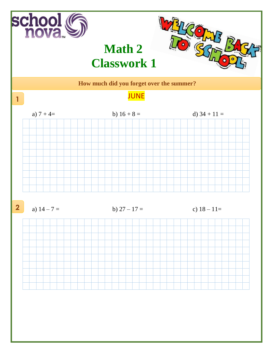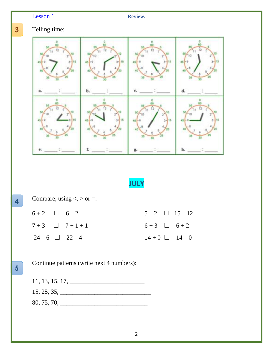## Lesson 1 **Review.**

**3**

**.**

## Telling time:



**JULY**

| Compare, using $\lt$ , $>$ or $=$ . |  |               |                    |                      |
|-------------------------------------|--|---------------|--------------------|----------------------|
| $6+2$ $\Box$ $6-2$                  |  |               |                    | $5-2$ $\Box$ $15-12$ |
|                                     |  | $7+3$ $7+1+1$ | $6+3$ $\Box$ $6+2$ |                      |
| $24-6$ 22 - 4                       |  |               |                    | $14+0$ $14-0$        |
|                                     |  |               |                    |                      |

**5**

**.**

**4**

**.**

Continue patterns (write next 4 numbers):

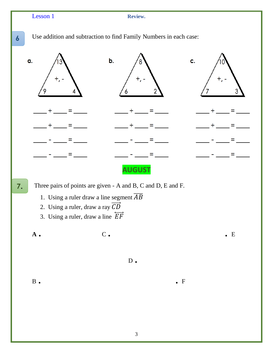| Lesson 1          | Review.                                                                                                                                                                                                          |             |
|-------------------|------------------------------------------------------------------------------------------------------------------------------------------------------------------------------------------------------------------|-------------|
| 6                 | Use addition and subtraction to find Family Numbers in each case:                                                                                                                                                |             |
| α.                | b.                                                                                                                                                                                                               | c.          |
|                   |                                                                                                                                                                                                                  |             |
|                   |                                                                                                                                                                                                                  |             |
|                   |                                                                                                                                                                                                                  |             |
|                   | <b>AUGUST</b>                                                                                                                                                                                                    |             |
| 7.                | Three pairs of points are given - A and B, C and D, E and F.<br>1. Using a ruler draw a line segment $\overline{AB}$<br>2. Using a ruler, draw a ray $CD$<br>3. Using a ruler, draw a line $\overrightarrow{EF}$ |             |
| $\mathbf A$ .     | $\mathbf C$ .                                                                                                                                                                                                    | $\bullet$ E |
|                   | $D_{\bullet}$                                                                                                                                                                                                    |             |
| $\, {\bf B} \,$ . |                                                                                                                                                                                                                  | $\bullet$ F |
|                   |                                                                                                                                                                                                                  |             |

3